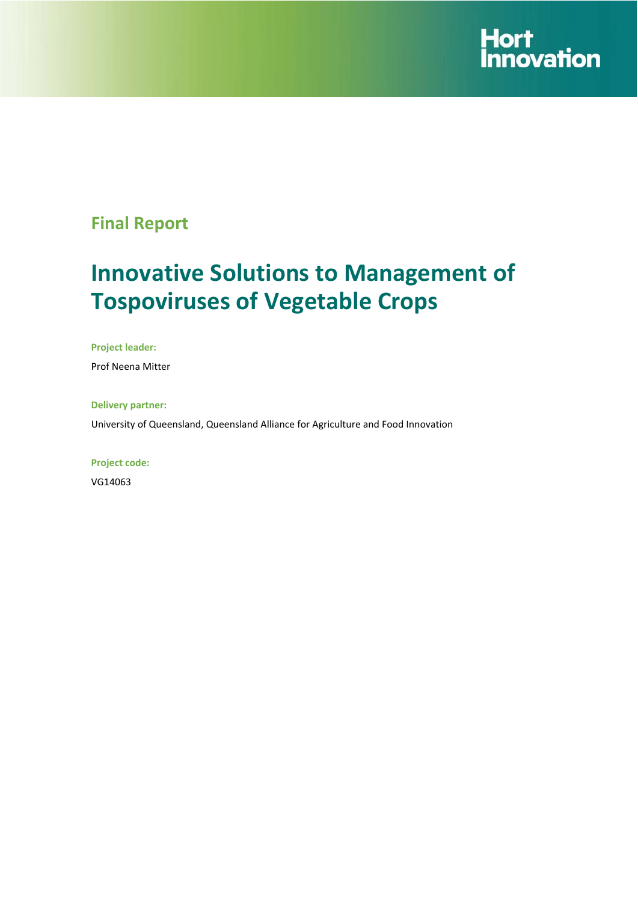

# **Final Report**

# **Innovative Solutions to Management of Tospoviruses of Vegetable Crops**

**Project leader:** 

Prof Neena Mitter

**Delivery partner:** 

University of Queensland, Queensland Alliance for Agriculture and Food Innovation

**Project code:** 

VG14063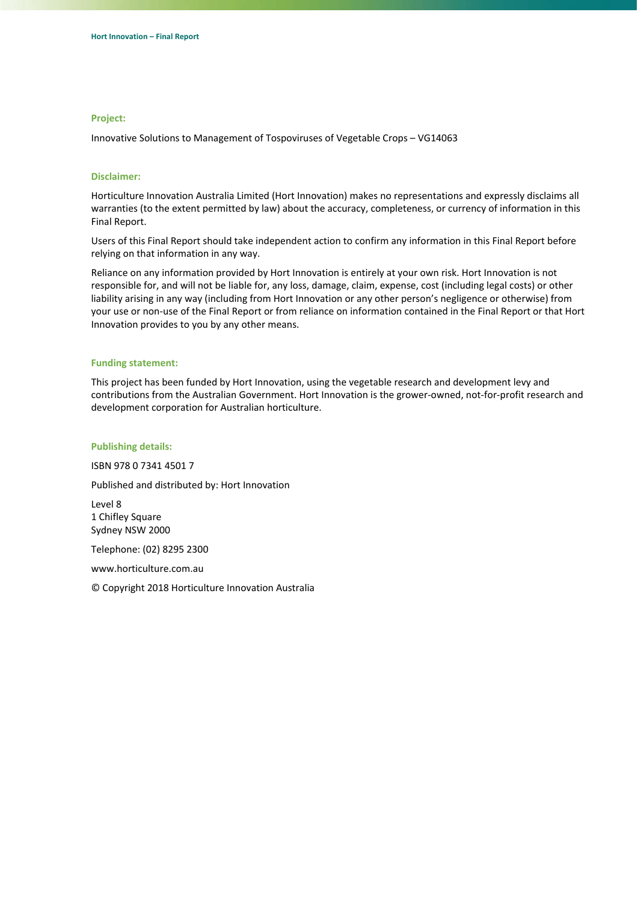#### **Project:**

Innovative Solutions to Management of Tospoviruses of Vegetable Crops – VG14063

#### **Disclaimer:**

Horticulture Innovation Australia Limited (Hort Innovation) makes no representations and expressly disclaims all warranties (to the extent permitted by law) about the accuracy, completeness, or currency of information in this Final Report.

Users of this Final Report should take independent action to confirm any information in this Final Report before relying on that information in any way.

Reliance on any information provided by Hort Innovation is entirely at your own risk. Hort Innovation is not responsible for, and will not be liable for, any loss, damage, claim, expense, cost (including legal costs) or other liability arising in any way (including from Hort Innovation or any other person's negligence or otherwise) from your use or non‐use of the Final Report or from reliance on information contained in the Final Report or that Hort Innovation provides to you by any other means.

#### **Funding statement:**

This project has been funded by Hort Innovation, using the vegetable research and development levy and contributions from the Australian Government. Hort Innovation is the grower‐owned, not‐for‐profit research and development corporation for Australian horticulture.

#### **Publishing details:**

ISBN 978 0 7341 4501 7

Published and distributed by: Hort Innovation

Level 8 1 Chifley Square Sydney NSW 2000

Telephone: (02) 8295 2300

www.horticulture.com.au

© Copyright 2018 Horticulture Innovation Australia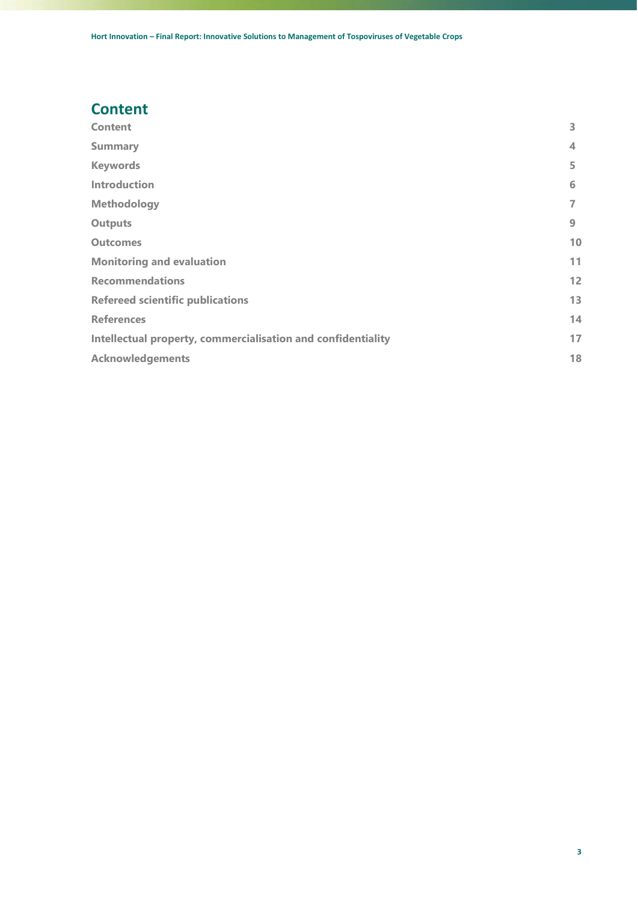### <span id="page-2-0"></span>**Content**

| <b>Content</b>                                               | 3  |
|--------------------------------------------------------------|----|
| <b>Summary</b>                                               | 4  |
| <b>Keywords</b>                                              | 5  |
| <b>Introduction</b>                                          | 6  |
| <b>Methodology</b>                                           | 7  |
| <b>Outputs</b>                                               | 9  |
| <b>Outcomes</b>                                              | 10 |
| <b>Monitoring and evaluation</b>                             | 11 |
| <b>Recommendations</b>                                       | 12 |
| <b>Refereed scientific publications</b>                      | 13 |
| <b>References</b>                                            | 14 |
| Intellectual property, commercialisation and confidentiality | 17 |
| <b>Acknowledgements</b>                                      | 18 |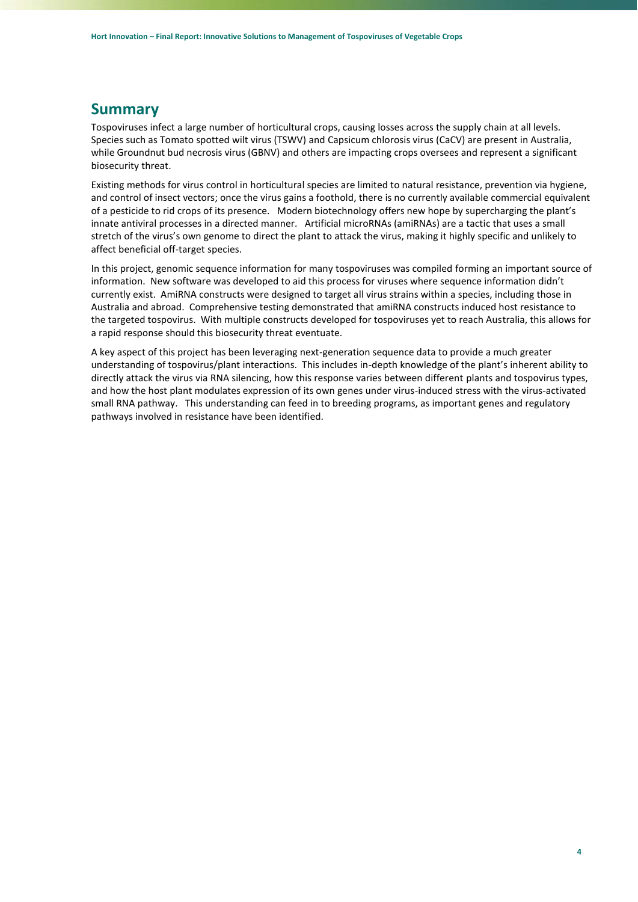### <span id="page-3-0"></span>**Summary**

Tospoviruses infect a large number of horticultural crops, causing losses across the supply chain at all levels. Species such as Tomato spotted wilt virus (TSWV) and Capsicum chlorosis virus (CaCV) are present in Australia, while Groundnut bud necrosis virus (GBNV) and others are impacting crops oversees and represent a significant biosecurity threat.

Existing methods for virus control in horticultural species are limited to natural resistance, prevention via hygiene, and control of insect vectors; once the virus gains a foothold, there is no currently available commercial equivalent of a pesticide to rid crops of its presence. Modern biotechnology offers new hope by supercharging the plant's innate antiviral processes in a directed manner. Artificial microRNAs (amiRNAs) are a tactic that uses a small stretch of the virus's own genome to direct the plant to attack the virus, making it highly specific and unlikely to affect beneficial off-target species.

In this project, genomic sequence information for many tospoviruses was compiled forming an important source of information. New software was developed to aid this process for viruses where sequence information didn't currently exist. AmiRNA constructs were designed to target all virus strains within a species, including those in Australia and abroad. Comprehensive testing demonstrated that amiRNA constructs induced host resistance to the targeted tospovirus. With multiple constructs developed for tospoviruses yet to reach Australia, this allows for a rapid response should this biosecurity threat eventuate.

A key aspect of this project has been leveraging next-generation sequence data to provide a much greater understanding of tospovirus/plant interactions. This includes in-depth knowledge of the plant's inherent ability to directly attack the virus via RNA silencing, how this response varies between different plants and tospovirus types, and how the host plant modulates expression of its own genes under virus-induced stress with the virus-activated small RNA pathway. This understanding can feed in to breeding programs, as important genes and regulatory pathways involved in resistance have been identified.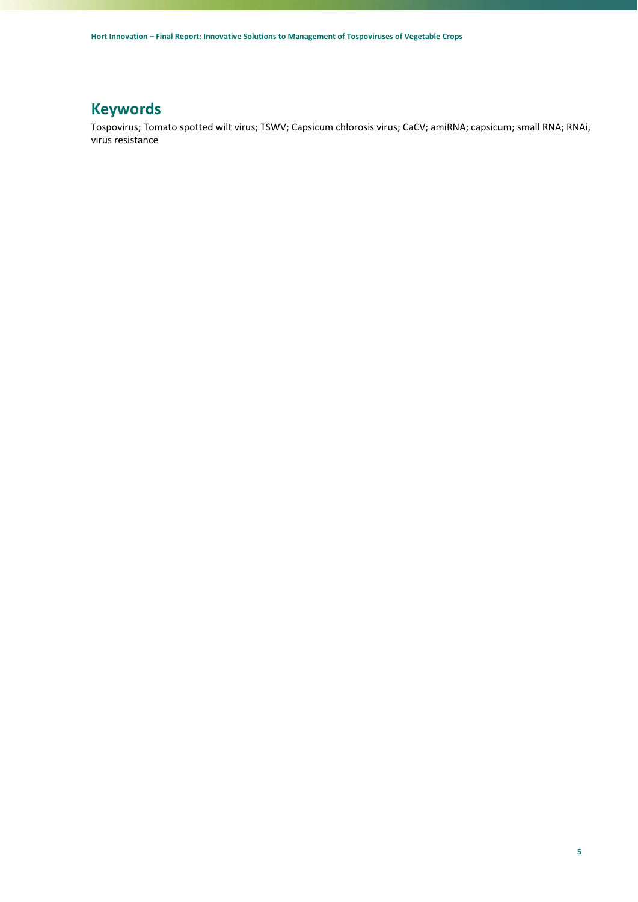# <span id="page-4-0"></span>**Keywords**

Tospovirus; Tomato spotted wilt virus; TSWV; Capsicum chlorosis virus; CaCV; amiRNA; capsicum; small RNA; RNAi, virus resistance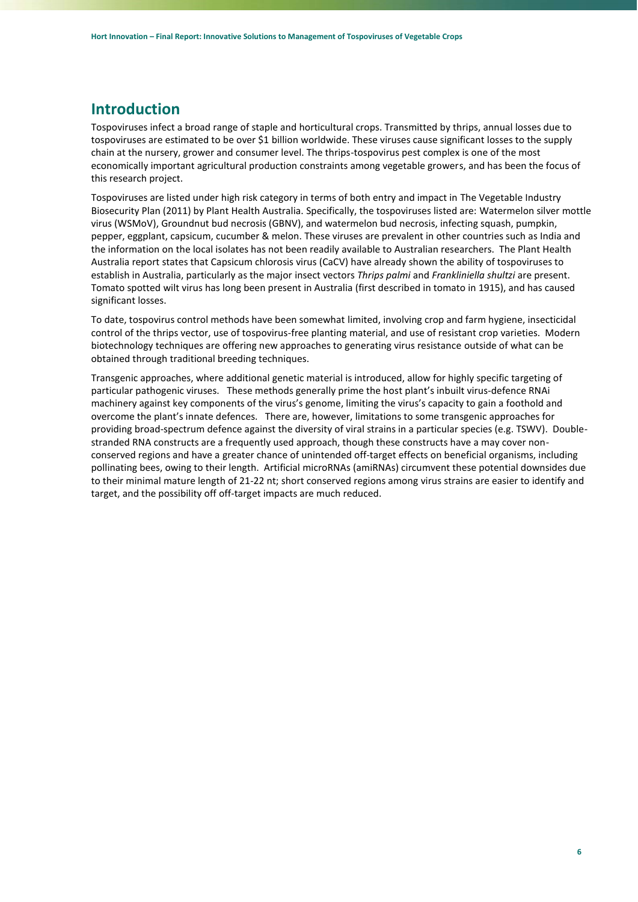### <span id="page-5-0"></span>**Introduction**

Tospoviruses infect a broad range of staple and horticultural crops. Transmitted by thrips, annual losses due to tospoviruses are estimated to be over \$1 billion worldwide. These viruses cause significant losses to the supply chain at the nursery, grower and consumer level. The thrips-tospovirus pest complex is one of the most economically important agricultural production constraints among vegetable growers, and has been the focus of this research project.

Tospoviruses are listed under high risk category in terms of both entry and impact in The Vegetable Industry Biosecurity Plan (2011) by Plant Health Australia. Specifically, the tospoviruses listed are: Watermelon silver mottle virus (WSMoV), Groundnut bud necrosis (GBNV), and watermelon bud necrosis, infecting squash, pumpkin, pepper, eggplant, capsicum, cucumber & melon. These viruses are prevalent in other countries such as India and the information on the local isolates has not been readily available to Australian researchers. The Plant Health Australia report states that Capsicum chlorosis virus (CaCV) have already shown the ability of tospoviruses to establish in Australia, particularly as the major insect vectors *Thrips palmi* and *Frankliniella shultzi* are present. Tomato spotted wilt virus has long been present in Australia (first described in tomato in 1915), and has caused significant losses.

To date, tospovirus control methods have been somewhat limited, involving crop and farm hygiene, insecticidal control of the thrips vector, use of tospovirus-free planting material, and use of resistant crop varieties. Modern biotechnology techniques are offering new approaches to generating virus resistance outside of what can be obtained through traditional breeding techniques.

Transgenic approaches, where additional genetic material is introduced, allow for highly specific targeting of particular pathogenic viruses. These methods generally prime the host plant's inbuilt virus-defence RNAi machinery against key components of the virus's genome, limiting the virus's capacity to gain a foothold and overcome the plant's innate defences. There are, however, limitations to some transgenic approaches for providing broad-spectrum defence against the diversity of viral strains in a particular species (e.g. TSWV). Doublestranded RNA constructs are a frequently used approach, though these constructs have a may cover nonconserved regions and have a greater chance of unintended off-target effects on beneficial organisms, including pollinating bees, owing to their length. Artificial microRNAs (amiRNAs) circumvent these potential downsides due to their minimal mature length of 21-22 nt; short conserved regions among virus strains are easier to identify and target, and the possibility off off-target impacts are much reduced.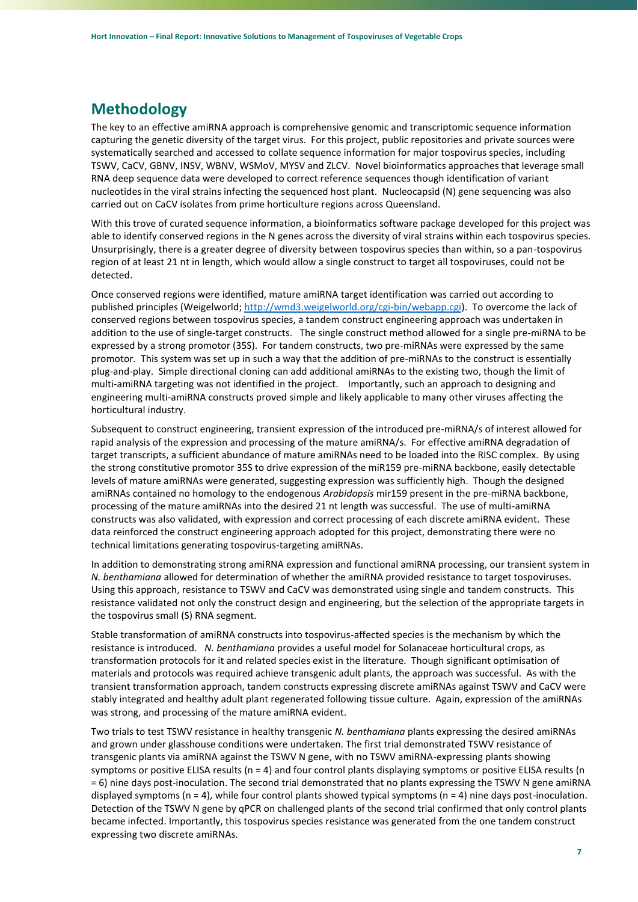### <span id="page-6-0"></span>**Methodology**

The key to an effective amiRNA approach is comprehensive genomic and transcriptomic sequence information capturing the genetic diversity of the target virus. For this project, public repositories and private sources were systematically searched and accessed to collate sequence information for major tospovirus species, including TSWV, CaCV, GBNV, INSV, WBNV, WSMoV, MYSV and ZLCV. Novel bioinformatics approaches that leverage small RNA deep sequence data were developed to correct reference sequences though identification of variant nucleotides in the viral strains infecting the sequenced host plant. Nucleocapsid (N) gene sequencing was also carried out on CaCV isolates from prime horticulture regions across Queensland.

With this trove of curated sequence information, a bioinformatics software package developed for this project was able to identify conserved regions in the N genes across the diversity of viral strains within each tospovirus species. Unsurprisingly, there is a greater degree of diversity between tospovirus species than within, so a pan-tospovirus region of at least 21 nt in length, which would allow a single construct to target all tospoviruses, could not be detected.

Once conserved regions were identified, mature amiRNA target identification was carried out according to published principles (Weigelworld; [http://wmd3.weigelworld.org/cgi-bin/webapp.cgi\)](http://wmd3.weigelworld.org/cgi-bin/webapp.cgi). To overcome the lack of conserved regions between tospovirus species, a tandem construct engineering approach was undertaken in addition to the use of single-target constructs. The single construct method allowed for a single pre-miRNA to be expressed by a strong promotor (35S). For tandem constructs, two pre-miRNAs were expressed by the same promotor. This system was set up in such a way that the addition of pre-miRNAs to the construct is essentially plug-and-play. Simple directional cloning can add additional amiRNAs to the existing two, though the limit of multi-amiRNA targeting was not identified in the project. Importantly, such an approach to designing and engineering multi-amiRNA constructs proved simple and likely applicable to many other viruses affecting the horticultural industry.

Subsequent to construct engineering, transient expression of the introduced pre-miRNA/s of interest allowed for rapid analysis of the expression and processing of the mature amiRNA/s. For effective amiRNA degradation of target transcripts, a sufficient abundance of mature amiRNAs need to be loaded into the RISC complex. By using the strong constitutive promotor 35S to drive expression of the miR159 pre-miRNA backbone, easily detectable levels of mature amiRNAs were generated, suggesting expression was sufficiently high. Though the designed amiRNAs contained no homology to the endogenous *Arabidopsis* mir159 present in the pre-miRNA backbone, processing of the mature amiRNAs into the desired 21 nt length was successful. The use of multi-amiRNA constructs was also validated, with expression and correct processing of each discrete amiRNA evident. These data reinforced the construct engineering approach adopted for this project, demonstrating there were no technical limitations generating tospovirus-targeting amiRNAs.

In addition to demonstrating strong amiRNA expression and functional amiRNA processing, our transient system in *N. benthamiana* allowed for determination of whether the amiRNA provided resistance to target tospoviruses. Using this approach, resistance to TSWV and CaCV was demonstrated using single and tandem constructs. This resistance validated not only the construct design and engineering, but the selection of the appropriate targets in the tospovirus small (S) RNA segment.

Stable transformation of amiRNA constructs into tospovirus-affected species is the mechanism by which the resistance is introduced. *N. benthamiana* provides a useful model for Solanaceae horticultural crops, as transformation protocols for it and related species exist in the literature. Though significant optimisation of materials and protocols was required achieve transgenic adult plants, the approach was successful. As with the transient transformation approach, tandem constructs expressing discrete amiRNAs against TSWV and CaCV were stably integrated and healthy adult plant regenerated following tissue culture. Again, expression of the amiRNAs was strong, and processing of the mature amiRNA evident.

Two trials to test TSWV resistance in healthy transgenic *N. benthamiana* plants expressing the desired amiRNAs and grown under glasshouse conditions were undertaken. The first trial demonstrated TSWV resistance of transgenic plants via amiRNA against the TSWV N gene, with no TSWV amiRNA-expressing plants showing symptoms or positive ELISA results ( $n = 4$ ) and four control plants displaying symptoms or positive ELISA results ( $n$ ) = 6) nine days post-inoculation. The second trial demonstrated that no plants expressing the TSWV N gene amiRNA displayed symptoms (n = 4), while four control plants showed typical symptoms (n = 4) nine days post-inoculation. Detection of the TSWV N gene by qPCR on challenged plants of the second trial confirmed that only control plants became infected. Importantly, this tospovirus species resistance was generated from the one tandem construct expressing two discrete amiRNAs.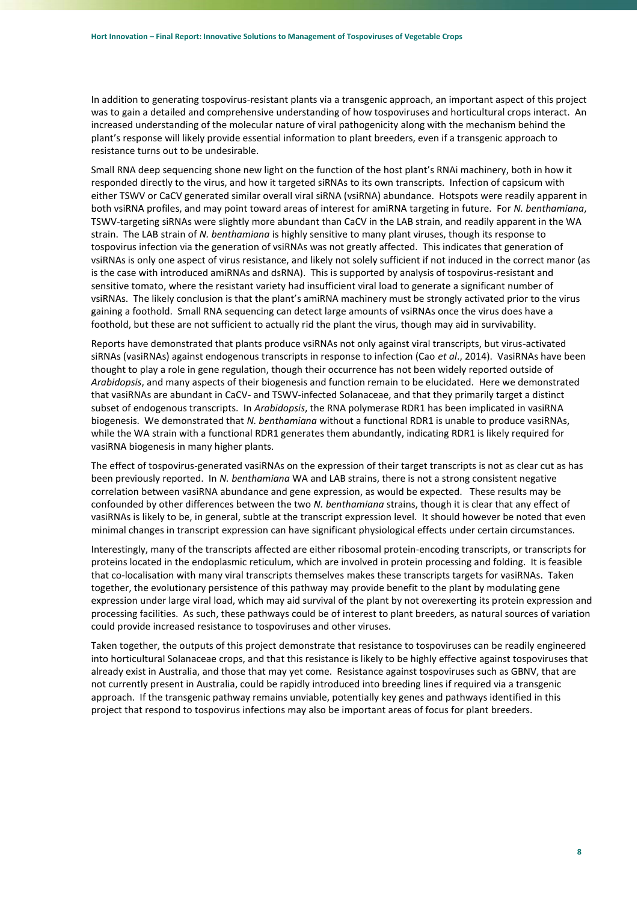In addition to generating tospovirus-resistant plants via a transgenic approach, an important aspect of this project was to gain a detailed and comprehensive understanding of how tospoviruses and horticultural crops interact. An increased understanding of the molecular nature of viral pathogenicity along with the mechanism behind the plant's response will likely provide essential information to plant breeders, even if a transgenic approach to resistance turns out to be undesirable.

Small RNA deep sequencing shone new light on the function of the host plant's RNAi machinery, both in how it responded directly to the virus, and how it targeted siRNAs to its own transcripts. Infection of capsicum with either TSWV or CaCV generated similar overall viral siRNA (vsiRNA) abundance. Hotspots were readily apparent in both vsiRNA profiles, and may point toward areas of interest for amiRNA targeting in future. For *N. benthamiana*, TSWV-targeting siRNAs were slightly more abundant than CaCV in the LAB strain, and readily apparent in the WA strain. The LAB strain of *N. benthamiana* is highly sensitive to many plant viruses, though its response to tospovirus infection via the generation of vsiRNAs was not greatly affected. This indicates that generation of vsiRNAs is only one aspect of virus resistance, and likely not solely sufficient if not induced in the correct manor (as is the case with introduced amiRNAs and dsRNA). This is supported by analysis of tospovirus-resistant and sensitive tomato, where the resistant variety had insufficient viral load to generate a significant number of vsiRNAs. The likely conclusion is that the plant's amiRNA machinery must be strongly activated prior to the virus gaining a foothold. Small RNA sequencing can detect large amounts of vsiRNAs once the virus does have a foothold, but these are not sufficient to actually rid the plant the virus, though may aid in survivability.

Reports have demonstrated that plants produce vsiRNAs not only against viral transcripts, but virus-activated siRNAs (vasiRNAs) against endogenous transcripts in response to infection (Cao *et al*., 2014). VasiRNAs have been thought to play a role in gene regulation, though their occurrence has not been widely reported outside of *Arabidopsis*, and many aspects of their biogenesis and function remain to be elucidated. Here we demonstrated that vasiRNAs are abundant in CaCV- and TSWV-infected Solanaceae, and that they primarily target a distinct subset of endogenous transcripts. In *Arabidopsis*, the RNA polymerase RDR1 has been implicated in vasiRNA biogenesis. We demonstrated that *N. benthamiana* without a functional RDR1 is unable to produce vasiRNAs, while the WA strain with a functional RDR1 generates them abundantly, indicating RDR1 is likely required for vasiRNA biogenesis in many higher plants.

The effect of tospovirus-generated vasiRNAs on the expression of their target transcripts is not as clear cut as has been previously reported. In *N. benthamiana* WA and LAB strains, there is not a strong consistent negative correlation between vasiRNA abundance and gene expression, as would be expected. These results may be confounded by other differences between the two *N. benthamiana* strains, though it is clear that any effect of vasiRNAs is likely to be, in general, subtle at the transcript expression level. It should however be noted that even minimal changes in transcript expression can have significant physiological effects under certain circumstances.

Interestingly, many of the transcripts affected are either ribosomal protein-encoding transcripts, or transcripts for proteins located in the endoplasmic reticulum, which are involved in protein processing and folding. It is feasible that co-localisation with many viral transcripts themselves makes these transcripts targets for vasiRNAs. Taken together, the evolutionary persistence of this pathway may provide benefit to the plant by modulating gene expression under large viral load, which may aid survival of the plant by not overexerting its protein expression and processing facilities. As such, these pathways could be of interest to plant breeders, as natural sources of variation could provide increased resistance to tospoviruses and other viruses.

Taken together, the outputs of this project demonstrate that resistance to tospoviruses can be readily engineered into horticultural Solanaceae crops, and that this resistance is likely to be highly effective against tospoviruses that already exist in Australia, and those that may yet come. Resistance against tospoviruses such as GBNV, that are not currently present in Australia, could be rapidly introduced into breeding lines if required via a transgenic approach. If the transgenic pathway remains unviable, potentially key genes and pathways identified in this project that respond to tospovirus infections may also be important areas of focus for plant breeders.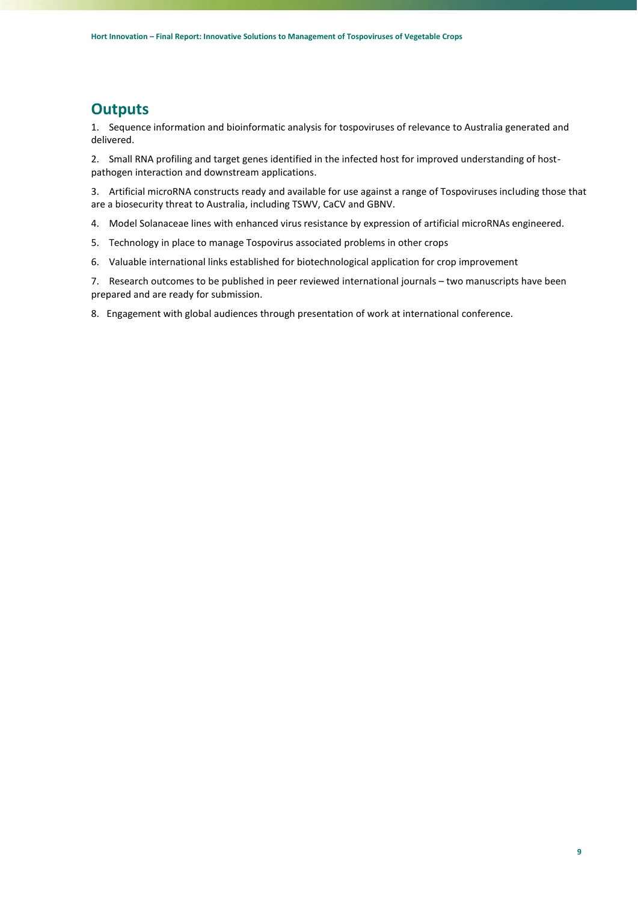### <span id="page-8-0"></span>**Outputs**

1. Sequence information and bioinformatic analysis for tospoviruses of relevance to Australia generated and delivered.

2. Small RNA profiling and target genes identified in the infected host for improved understanding of hostpathogen interaction and downstream applications.

3. Artificial microRNA constructs ready and available for use against a range of Tospoviruses including those that are a biosecurity threat to Australia, including TSWV, CaCV and GBNV.

- 4. Model Solanaceae lines with enhanced virus resistance by expression of artificial microRNAs engineered.
- 5. Technology in place to manage Tospovirus associated problems in other crops
- 6. Valuable international links established for biotechnological application for crop improvement

7. Research outcomes to be published in peer reviewed international journals – two manuscripts have been prepared and are ready for submission.

8. Engagement with global audiences through presentation of work at international conference.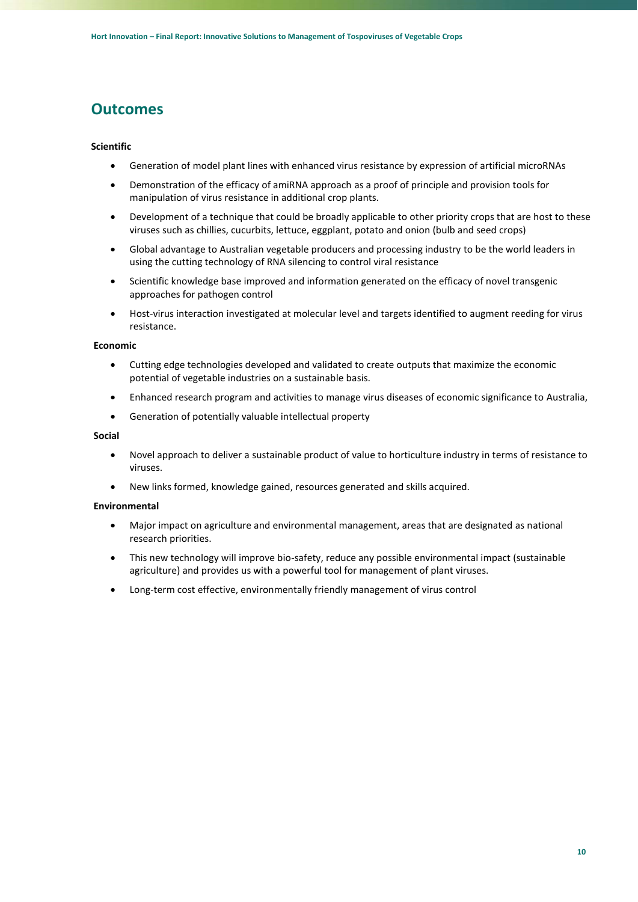### <span id="page-9-0"></span>**Outcomes**

#### **Scientific**

- Generation of model plant lines with enhanced virus resistance by expression of artificial microRNAs
- Demonstration of the efficacy of amiRNA approach as a proof of principle and provision tools for manipulation of virus resistance in additional crop plants.
- Development of a technique that could be broadly applicable to other priority crops that are host to these viruses such as chillies, cucurbits, lettuce, eggplant, potato and onion (bulb and seed crops)
- Global advantage to Australian vegetable producers and processing industry to be the world leaders in using the cutting technology of RNA silencing to control viral resistance
- Scientific knowledge base improved and information generated on the efficacy of novel transgenic approaches for pathogen control
- Host-virus interaction investigated at molecular level and targets identified to augment reeding for virus resistance.

#### **Economic**

- Cutting edge technologies developed and validated to create outputs that maximize the economic potential of vegetable industries on a sustainable basis.
- Enhanced research program and activities to manage virus diseases of economic significance to Australia,
- Generation of potentially valuable intellectual property

#### **Social**

- Novel approach to deliver a sustainable product of value to horticulture industry in terms of resistance to viruses.
- New links formed, knowledge gained, resources generated and skills acquired.

#### **Environmental**

- Major impact on agriculture and environmental management, areas that are designated as national research priorities.
- This new technology will improve bio-safety, reduce any possible environmental impact (sustainable agriculture) and provides us with a powerful tool for management of plant viruses.
- Long-term cost effective, environmentally friendly management of virus control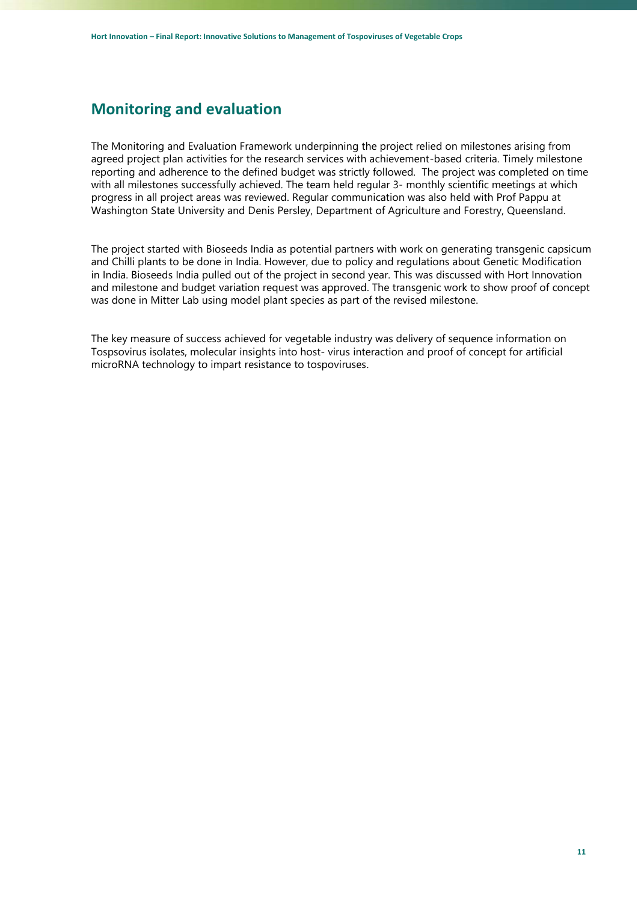### <span id="page-10-0"></span>**Monitoring and evaluation**

The Monitoring and Evaluation Framework underpinning the project relied on milestones arising from agreed project plan activities for the research services with achievement-based criteria. Timely milestone reporting and adherence to the defined budget was strictly followed. The project was completed on time with all milestones successfully achieved. The team held regular 3- monthly scientific meetings at which progress in all project areas was reviewed. Regular communication was also held with Prof Pappu at Washington State University and Denis Persley, Department of Agriculture and Forestry, Queensland.

The project started with Bioseeds India as potential partners with work on generating transgenic capsicum and Chilli plants to be done in India. However, due to policy and regulations about Genetic Modification in India. Bioseeds India pulled out of the project in second year. This was discussed with Hort Innovation and milestone and budget variation request was approved. The transgenic work to show proof of concept was done in Mitter Lab using model plant species as part of the revised milestone.

The key measure of success achieved for vegetable industry was delivery of sequence information on Tospsovirus isolates, molecular insights into host- virus interaction and proof of concept for artificial microRNA technology to impart resistance to tospoviruses.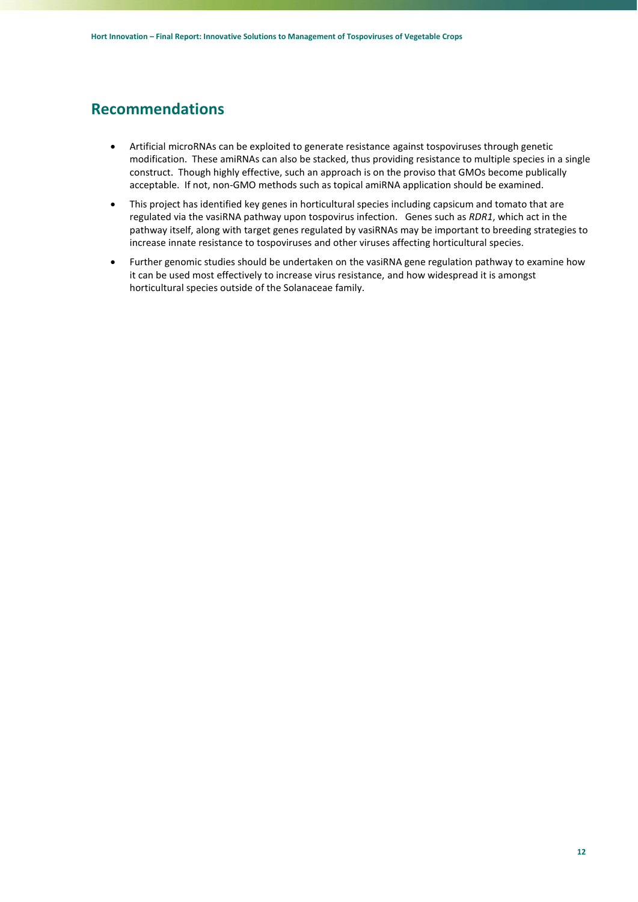### <span id="page-11-0"></span>**Recommendations**

- Artificial microRNAs can be exploited to generate resistance against tospoviruses through genetic modification. These amiRNAs can also be stacked, thus providing resistance to multiple species in a single construct. Though highly effective, such an approach is on the proviso that GMOs become publically acceptable. If not, non-GMO methods such as topical amiRNA application should be examined.
- This project has identified key genes in horticultural species including capsicum and tomato that are regulated via the vasiRNA pathway upon tospovirus infection. Genes such as *RDR1*, which act in the pathway itself, along with target genes regulated by vasiRNAs may be important to breeding strategies to increase innate resistance to tospoviruses and other viruses affecting horticultural species.
- Further genomic studies should be undertaken on the vasiRNA gene regulation pathway to examine how it can be used most effectively to increase virus resistance, and how widespread it is amongst horticultural species outside of the Solanaceae family.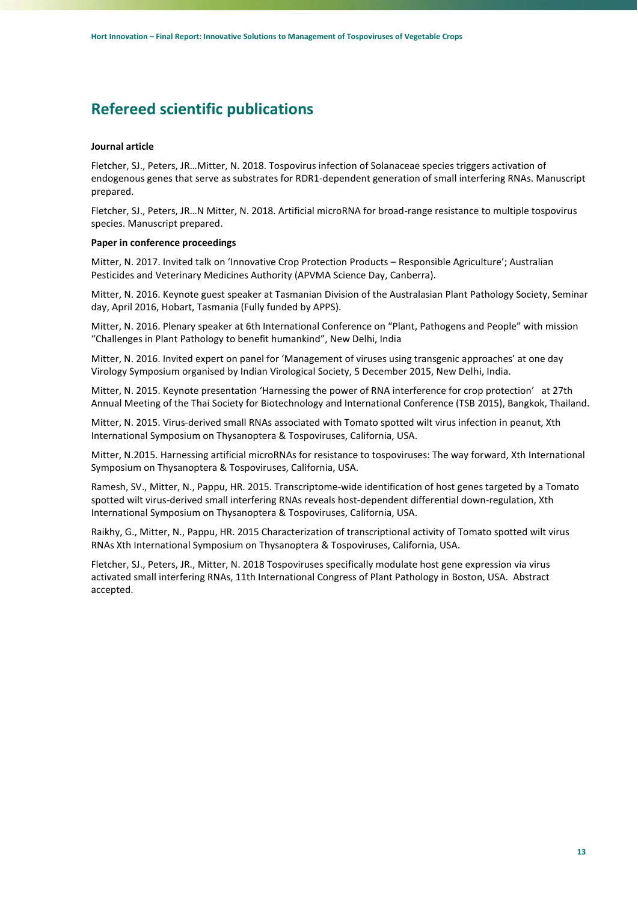# <span id="page-12-0"></span>**Refereed scientific publications**

#### **Journal article**

Fletcher, SJ., Peters, JR…Mitter, N. 2018. Tospovirus infection of Solanaceae species triggers activation of endogenous genes that serve as substrates for RDR1-dependent generation of small interfering RNAs. Manuscript prepared.

Fletcher, SJ., Peters, JR…N Mitter, N. 2018. Artificial microRNA for broad-range resistance to multiple tospovirus species. Manuscript prepared.

#### **Paper in conference proceedings**

Mitter, N. 2017. Invited talk on 'Innovative Crop Protection Products – Responsible Agriculture'; Australian Pesticides and Veterinary Medicines Authority (APVMA Science Day, Canberra).

Mitter, N. 2016. Keynote guest speaker at Tasmanian Division of the Australasian Plant Pathology Society, Seminar day, April 2016, Hobart, Tasmania (Fully funded by APPS).

Mitter, N. 2016. Plenary speaker at 6th International Conference on "Plant, Pathogens and People" with mission "Challenges in Plant Pathology to benefit humankind", New Delhi, India

Mitter, N. 2016. Invited expert on panel for 'Management of viruses using transgenic approaches' at one day Virology Symposium organised by Indian Virological Society, 5 December 2015, New Delhi, India.

Mitter, N. 2015. Keynote presentation 'Harnessing the power of RNA interference for crop protection' at 27th Annual Meeting of the Thai Society for Biotechnology and International Conference (TSB 2015), Bangkok, Thailand.

Mitter, N. 2015. Virus-derived small RNAs associated with Tomato spotted wilt virus infection in peanut, Xth International Symposium on Thysanoptera & Tospoviruses, California, USA.

Mitter, N.2015. Harnessing artificial microRNAs for resistance to tospoviruses: The way forward, Xth International Symposium on Thysanoptera & Tospoviruses, California, USA.

Ramesh, SV., Mitter, N., Pappu, HR. 2015. Transcriptome-wide identification of host genes targeted by a Tomato spotted wilt virus-derived small interfering RNAs reveals host-dependent differential down-regulation, Xth International Symposium on Thysanoptera & Tospoviruses, California, USA.

Raikhy, G., Mitter, N., Pappu, HR. 2015 Characterization of transcriptional activity of Tomato spotted wilt virus RNAs Xth International Symposium on Thysanoptera & Tospoviruses, California, USA.

Fletcher, SJ., Peters, JR., Mitter, N. 2018 Tospoviruses specifically modulate host gene expression via virus activated small interfering RNAs, 11th International Congress of Plant Pathology in Boston, USA. Abstract accepted.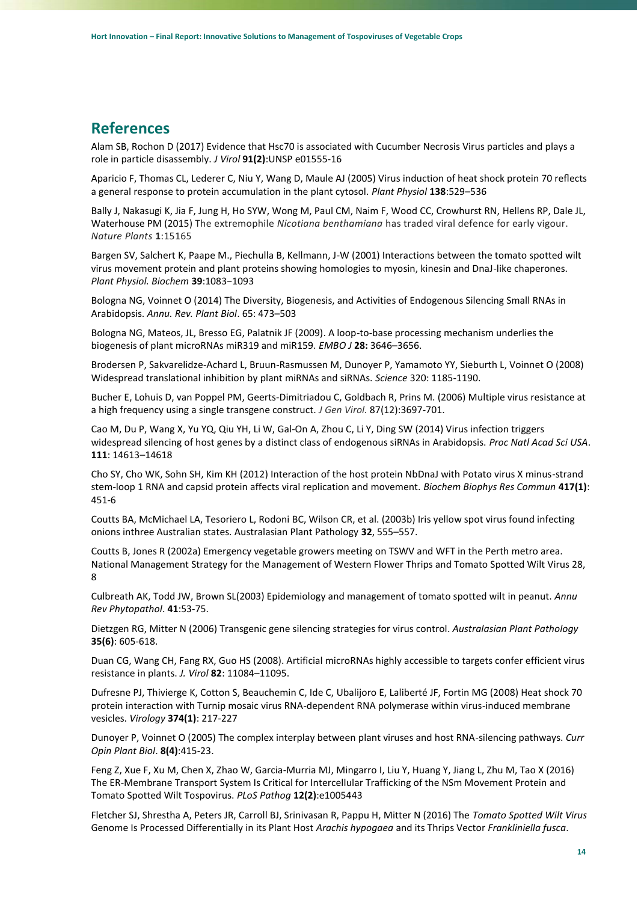### <span id="page-13-0"></span>**References**

Alam SB, Rochon D (2017) Evidence that Hsc70 is associated with Cucumber Necrosis Virus particles and plays a role in particle disassembly. *J Virol* **91(2)**:UNSP e01555-16

Aparicio F, Thomas CL, Lederer C, Niu Y, Wang D, Maule AJ (2005) Virus induction of heat shock protein 70 reflects a general response to protein accumulation in the plant cytosol. *Plant Physiol* **138**:529–536

Bally J, Nakasugi K, Jia F, Jung H, Ho SYW, Wong M, Paul CM, Naim F, Wood CC, Crowhurst RN, Hellens RP, Dale JL, Waterhouse PM (2015) The extremophile *Nicotiana benthamiana* has traded viral defence for early vigour. *Nature Plants* **1**:15165

Bargen SV, Salchert K, Paape M., Piechulla B, Kellmann, J-W (2001) Interactions between the tomato spotted wilt virus movement protein and plant proteins showing homologies to myosin, kinesin and DnaJ-like chaperones. *Plant Physiol. Biochem* **39**:1083−1093

Bologna NG, Voinnet O (2014) The Diversity, Biogenesis, and Activities of Endogenous Silencing Small RNAs in Arabidopsis. *Annu. Rev. Plant Biol*. 65: 473–503

Bologna NG, Mateos, JL, Bresso EG, Palatnik JF (2009). A loop-to-base processing mechanism underlies the biogenesis of plant microRNAs miR319 and miR159. *EMBO J* **28:** 3646–3656.

Brodersen P, Sakvarelidze-Achard L, Bruun-Rasmussen M, Dunoyer P, Yamamoto YY, Sieburth L, Voinnet O (2008) Widespread translational inhibition by plant miRNAs and siRNAs. *Science* 320: 1185-1190.

[Bucher E,](https://www.ncbi.nlm.nih.gov/pubmed/?term=Bucher%20E%5BAuthor%5D&cauthor=true&cauthor_uid=17098987) [Lohuis D,](https://www.ncbi.nlm.nih.gov/pubmed/?term=Lohuis%20D%5BAuthor%5D&cauthor=true&cauthor_uid=17098987) [van Poppel PM,](https://www.ncbi.nlm.nih.gov/pubmed/?term=van%20Poppel%20PM%5BAuthor%5D&cauthor=true&cauthor_uid=17098987) [Geerts-Dimitriadou C,](https://www.ncbi.nlm.nih.gov/pubmed/?term=Geerts-Dimitriadou%20C%5BAuthor%5D&cauthor=true&cauthor_uid=17098987) [Goldbach R,](https://www.ncbi.nlm.nih.gov/pubmed/?term=Goldbach%20R%5BAuthor%5D&cauthor=true&cauthor_uid=17098987) [Prins M.](https://www.ncbi.nlm.nih.gov/pubmed/?term=Prins%20M%5BAuthor%5D&cauthor=true&cauthor_uid=17098987) (2006) Multiple virus resistance at a high frequency using a single transgene construct. *[J Gen Virol.](https://www.ncbi.nlm.nih.gov/pubmed/17098987)* 87(12):3697-701.

Cao M, Du P, Wang X, Yu YQ, Qiu YH, Li W, Gal-On A, Zhou C, Li Y, Ding SW (2014) Virus infection triggers widespread silencing of host genes by a distinct class of endogenous siRNAs in Arabidopsis. *Proc Natl Acad Sci USA*. **111**: 14613–14618

Cho SY, Cho WK, Sohn SH, Kim KH (2012) Interaction of the host protein NbDnaJ with Potato virus X minus-strand stem-loop 1 RNA and capsid protein affects viral replication and movement. *Biochem Biophys Res Commun* **417(1)**: 451-6

Coutts BA, McMichael LA, Tesoriero L, Rodoni BC, Wilson CR, et al. (2003b) Iris yellow spot virus found infecting onions inthree Australian states. Australasian Plant Pathology **32**, 555–557.

Coutts B, Jones R (2002a) Emergency vegetable growers meeting on TSWV and WFT in the Perth metro area. National Management Strategy for the Management of Western Flower Thrips and Tomato Spotted Wilt Virus 28, 8

[Culbreath](https://www.ncbi.nlm.nih.gov/pubmed/?term=Culbreath%20AK%5BAuthor%5D&cauthor=true&cauthor_uid=12704217) AK, [Todd JW,](https://www.ncbi.nlm.nih.gov/pubmed/?term=Todd%20JW%5BAuthor%5D&cauthor=true&cauthor_uid=12704217) [Brown SL\(](https://www.ncbi.nlm.nih.gov/pubmed/?term=Brown%20SL%5BAuthor%5D&cauthor=true&cauthor_uid=12704217)2003) Epidemiology and management of tomato spotted wilt in peanut. *Annu Rev Phytopathol*. **41**:53-75.

[Dietzgen RG,](http://espace.library.uq.edu.au/list/author_id/2526/) Mitter N (2006) [Transgenic gene silencing strategies for virus control.](http://espace.library.uq.edu.au/view/UQ:81189) *Australasian Plant Pathology* **35(6)**: 605-618.

Duan CG, Wang CH, Fang RX, Guo HS (2008). Artificial microRNAs highly accessible to targets confer efficient virus resistance in plants. *J. Virol* **82**: 11084–11095.

Dufresne PJ, Thivierge K, Cotton S, Beauchemin C, Ide C, Ubalijoro E, Laliberté JF, Fortin MG (2008) Heat shock 70 protein interaction with Turnip mosaic virus RNA-dependent RNA polymerase within virus-induced membrane vesicles. *Virology* **374(1)**: 217-227

Dunoyer P, Voinnet O (2005) The complex interplay between plant viruses and host RNA-silencing pathways. *Curr Opin Plant Biol*. **8(4)**:415-23.

Feng Z, Xue F, Xu M, Chen X, Zhao W, Garcia-Murria MJ, Mingarro I, Liu Y, Huang Y, Jiang L, Zhu M, Tao X (2016) The ER-Membrane Transport System Is Critical for Intercellular Trafficking of the NSm Movement Protein and Tomato Spotted Wilt Tospovirus. *PLoS Pathog* **12(2)**:e1005443

Fletcher SJ, Shrestha A, Peters JR, Carroll BJ, Srinivasan R, Pappu H, Mitter N (2016) The *Tomato Spotted Wilt Virus* Genome Is Processed Differentially in its Plant Host *Arachis hypogaea* and its Thrips Vector *Frankliniella fusca*.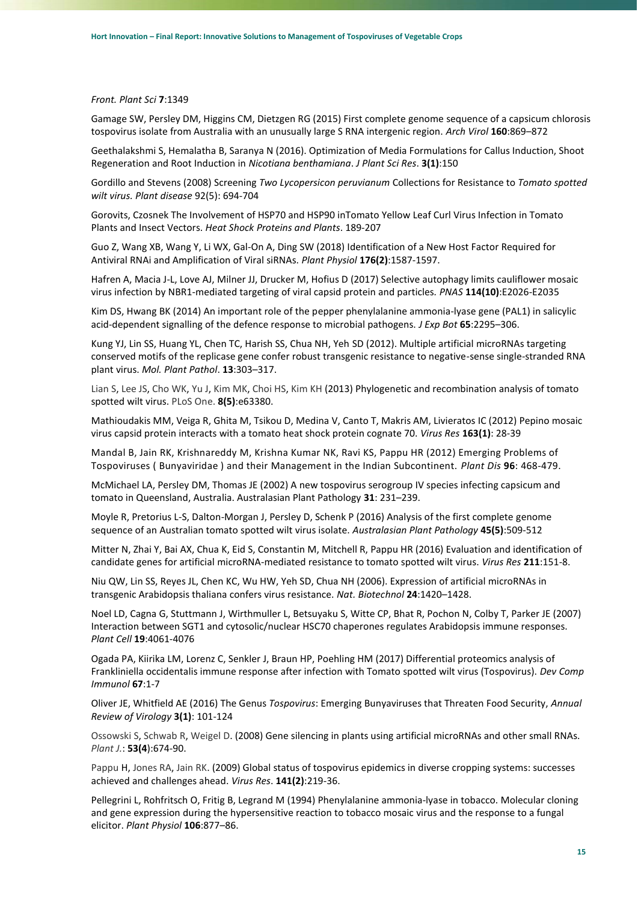#### *Front. Plant Sci* **7**:1349

Gamage SW, Persley DM, Higgins CM, Dietzgen RG (2015) First complete genome sequence of a capsicum chlorosis tospovirus isolate from Australia with an unusually large S RNA intergenic region. *Arch Virol* **160**:869–872

Geethalakshmi S, Hemalatha B, Saranya N (2016). Optimization of Media Formulations for Callus Induction, Shoot Regeneration and Root Induction in *Nicotiana benthamiana*. *J Plant Sci Res*. **3(1)**:150

Gordillo and Stevens (2008) Screening *Two Lycopersicon peruvianum* Collections for Resistance to *Tomato spotted wilt virus. Plant disease* 92(5): 694-704

Gorovits, Czosnek The Involvement of HSP70 and HSP90 inTomato Yellow Leaf Curl Virus Infection in Tomato Plants and Insect Vectors. *Heat Shock Proteins and Plants*. 189-207

Guo Z, Wang XB, Wang Y, Li WX, Gal-On A, Ding SW (2018) Identification of a New Host Factor Required for Antiviral RNAi and Amplification of Viral siRNAs. *Plant Physiol* **176(2)**:1587-1597.

Hafren A, Macia J-L, Love AJ, Milner JJ, Drucker M, Hofius D (2017) Selective autophagy limits cauliflower mosaic virus infection by NBR1-mediated targeting of viral capsid protein and particles*. PNAS* **114(10)**:E2026-E2035

Kim DS, Hwang BK (2014) An important role of the pepper phenylalanine ammonia-lyase gene (PAL1) in salicylic acid-dependent signalling of the defence response to microbial pathogens. *J Exp Bot* **65**:2295–306.

Kung YJ, Lin SS, Huang YL, Chen TC, Harish SS, Chua NH, Yeh SD (2012). Multiple artificial microRNAs targeting conserved motifs of the replicase gene confer robust transgenic resistance to negative-sense single-stranded RNA plant virus. *Mol. Plant Pathol*. **13**:303–317.

[Lian](https://www.ncbi.nlm.nih.gov/pubmed/?term=Lian%20S%5BAuthor%5D&cauthor=true&cauthor_uid=23696821) S, [Lee JS,](https://www.ncbi.nlm.nih.gov/pubmed/?term=Lee%20JS%5BAuthor%5D&cauthor=true&cauthor_uid=23696821) [Cho WK,](https://www.ncbi.nlm.nih.gov/pubmed/?term=Cho%20WK%5BAuthor%5D&cauthor=true&cauthor_uid=23696821) [Yu J,](https://www.ncbi.nlm.nih.gov/pubmed/?term=Yu%20J%5BAuthor%5D&cauthor=true&cauthor_uid=23696821) [Kim MK,](https://www.ncbi.nlm.nih.gov/pubmed/?term=Kim%20MK%5BAuthor%5D&cauthor=true&cauthor_uid=23696821) [Choi HS,](https://www.ncbi.nlm.nih.gov/pubmed/?term=Choi%20HS%5BAuthor%5D&cauthor=true&cauthor_uid=23696821) [Kim KH](https://www.ncbi.nlm.nih.gov/pubmed/?term=Kim%20KH%5BAuthor%5D&cauthor=true&cauthor_uid=23696821) (2013) Phylogenetic and recombination analysis of tomato spotted wilt virus. [PLoS One.](https://www.ncbi.nlm.nih.gov/pubmed/?term=Lian%5BAuthor%5D+AND+2013%5BDate+-+Publication%5D+TSWV) **8(5)**:e63380.

Mathioudakis MM, Veiga R, Ghita M, Tsikou D, Medina V, Canto T, Makris AM, Livieratos IC (2012) Pepino mosaic virus capsid protein interacts with a tomato heat shock protein cognate 70. *Virus Res* **163(1)**: 28-39

Mandal B, Jain RK, Krishnareddy M, Krishna Kumar NK, Ravi KS, Pappu HR (2012) Emerging Problems of Tospoviruses ( Bunyaviridae ) and their Management in the Indian Subcontinent. *Plant Dis* **96**: 468-479.

McMichael LA, Persley DM, Thomas JE (2002) A new tospovirus serogroup IV species infecting capsicum and tomato in Queensland, Australia. Australasian Plant Pathology **31**: 231–239.

Moyle R, Pretorius L-S, Dalton-Morgan J, Persley D, Schenk P (2016) Analysis of the first complete genome sequence of an Australian tomato spotted wilt virus isolate. *Australasian Plant Pathology* **45(5)**:509-512

Mitter N, Zhai Y, Bai AX, Chua K, Eid S, Constantin M, Mitchell R, Pappu HR (2016) Evaluation and identification of candidate genes for artificial microRNA-mediated resistance to tomato spotted wilt virus. *Virus Res* **211**:151-8.

Niu QW, Lin SS, Reyes JL, Chen KC, Wu HW, Yeh SD, Chua NH (2006). Expression of artificial microRNAs in transgenic Arabidopsis thaliana confers virus resistance. *Nat. Biotechnol* **24**:1420–1428.

Noel LD, Cagna G, Stuttmann J, Wirthmuller L, Betsuyaku S, Witte CP, Bhat R, Pochon N, Colby T, Parker JE (2007) Interaction between SGT1 and cytosolic/nuclear HSC70 chaperones regulates Arabidopsis immune responses. *Plant Cell* **19**:4061-4076

Ogada PA, Kiirika LM, Lorenz C, Senkler J, Braun HP, Poehling HM (2017) Differential proteomics analysis of Frankliniella occidentalis immune response after infection with Tomato spotted wilt virus (Tospovirus). *Dev Comp Immunol* **67**:1-7

Oliver JE, Whitfield AE (2016) The Genus *Tospovirus*: Emerging Bunyaviruses that Threaten Food Security, *Annual Review of Virology* **3(1)**: 101-124

[Ossowski](https://www.ncbi.nlm.nih.gov/pubmed/?term=Ossowski%20S%5BAuthor%5D&cauthor=true&cauthor_uid=18269576) S, [Schwab R,](https://www.ncbi.nlm.nih.gov/pubmed/?term=Schwab%20R%5BAuthor%5D&cauthor=true&cauthor_uid=18269576) [Weigel D.](https://www.ncbi.nlm.nih.gov/pubmed/?term=Weigel%20D%5BAuthor%5D&cauthor=true&cauthor_uid=18269576) (2008) Gene silencing in plants using artificial microRNAs and other small RNAs. *[Plant J.](https://www.ncbi.nlm.nih.gov/pubmed/18269576)*: **53(4**):674-90.

Pappu H, [Jones RA,](https://www.ncbi.nlm.nih.gov/pubmed/?term=Jones%20RA%5BAuthor%5D&cauthor=true&cauthor_uid=19189852) [Jain RK.](https://www.ncbi.nlm.nih.gov/pubmed/?term=Jain%20RK%5BAuthor%5D&cauthor=true&cauthor_uid=19189852) (2009) Global status of tospovirus epidemics in diverse cropping systems: successes achieved and challenges ahead. *Virus Res*. **141(2)**:219-36.

Pellegrini L, Rohfritsch O, Fritig B, Legrand M (1994) Phenylalanine ammonia-lyase in tobacco. Molecular cloning and gene expression during the hypersensitive reaction to tobacco mosaic virus and the response to a fungal elicitor. *Plant Physiol* **106**:877–86.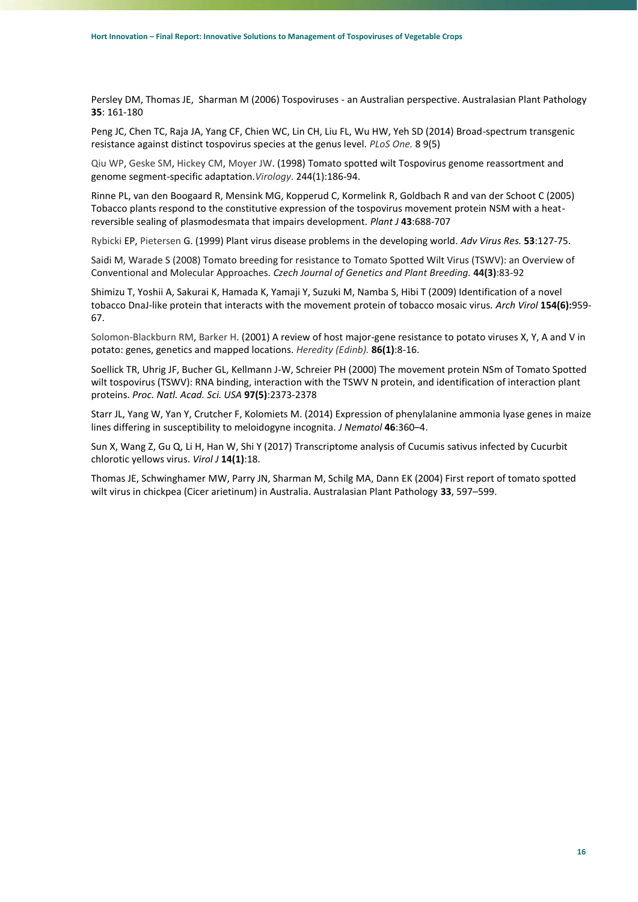Persley DM, Thomas JE, Sharman M (2006) Tospoviruses - an Australian perspective. Australasian Plant Pathology **35**: 161-180

Peng JC, Chen TC, Raja JA, Yang CF, Chien WC, Lin CH, Liu FL, Wu HW, Yeh SD (2014) Broad-spectrum transgenic resistance against distinct tospovirus species at the genus level. *[PLoS One.](https://www.ncbi.nlm.nih.gov/pubmed/24811071)* 8 9(5)

Qiu [WP,](https://www.ncbi.nlm.nih.gov/pubmed/?term=Qiu%20WP%5BAuthor%5D&cauthor=true&cauthor_uid=9581790) [Geske SM,](https://www.ncbi.nlm.nih.gov/pubmed/?term=Geske%20SM%5BAuthor%5D&cauthor=true&cauthor_uid=9581790) [Hickey CM,](https://www.ncbi.nlm.nih.gov/pubmed/?term=Hickey%20CM%5BAuthor%5D&cauthor=true&cauthor_uid=9581790) [Moyer JW.](https://www.ncbi.nlm.nih.gov/pubmed/?term=Moyer%20JW%5BAuthor%5D&cauthor=true&cauthor_uid=9581790) (1998) Tomato spotted wilt Tospovirus genome reassortment and genome segment-specific adaptation.*[Virology](https://www.ncbi.nlm.nih.gov/pubmed/9581790)*. 244(1):186-94.

Rinne PL, van den Boogaard R, Mensink MG, Kopperud C, Kormelink R, Goldbach R and van der Schoot C (2005) Tobacco plants respond to the constitutive expression of the tospovirus movement protein NSM with a heatreversible sealing of plasmodesmata that impairs development. *Plant J* **43**:688-707

Rybicki EP, Pietersen G. (1999) Plant virus disease problems in the developing world. *Adv Virus Res.* **53**:127-75.

Saidi M, Warade S (2008) Tomato breeding for resistance to Tomato Spotted Wilt Virus (TSWV): an Overview of Conventional and Molecular Approaches. *Czech Journal of Genetics and Plant Breeding.* **44(3)**:83-92

Shimizu T, Yoshii A, Sakurai K, Hamada K, Yamaji Y, Suzuki M, Namba S, Hibi T (2009) Identification of a novel tobacco DnaJ-like protein that interacts with the movement protein of tobacco mosaic virus. *Arch Virol* **154(6):**959- 67.

[Solomon-Blackburn RM,](https://www.ncbi.nlm.nih.gov/pubmed/?term=Solomon-Blackburn%20RM%5BAuthor%5D&cauthor=true&cauthor_uid=11298811) [Barker H.](https://www.ncbi.nlm.nih.gov/pubmed/?term=Barker%20H%5BAuthor%5D&cauthor=true&cauthor_uid=11298811) (2001) A review of host major-gene resistance to potato viruses X, Y, A and V in potato: genes, genetics and mapped locations. *[Heredity \(Edinb\).](https://www.ncbi.nlm.nih.gov/pubmed/11298811)* **86(1)**:8-16.

Soellick TR, Uhrig JF, Bucher GL, Kellmann J-W, Schreier PH (2000) The movement protein NSm of Tomato Spotted wilt tospovirus (TSWV): RNA binding, interaction with the TSWV N protein, and identification of interaction plant proteins. *Proc. Natl. Acad. Sci. USA* **97(5)**:2373-2378

Starr JL, Yang W, Yan Y, Crutcher F, Kolomiets M. (2014) Expression of phenylalanine ammonia lyase genes in maize lines differing in susceptibility to meloidogyne incognita. *J Nematol* **46**:360–4.

Sun X, Wang Z, Gu Q, Li H, Han W, Shi Y (2017) Transcriptome analysis of Cucumis sativus infected by Cucurbit chlorotic yellows virus. *Virol J* **14(1)**:18.

Thomas JE, Schwinghamer MW, Parry JN, Sharman M, Schilg MA, Dann EK (2004) First report of tomato spotted wilt virus in chickpea (Cicer arietinum) in Australia. Australasian Plant Pathology **33**, 597–599.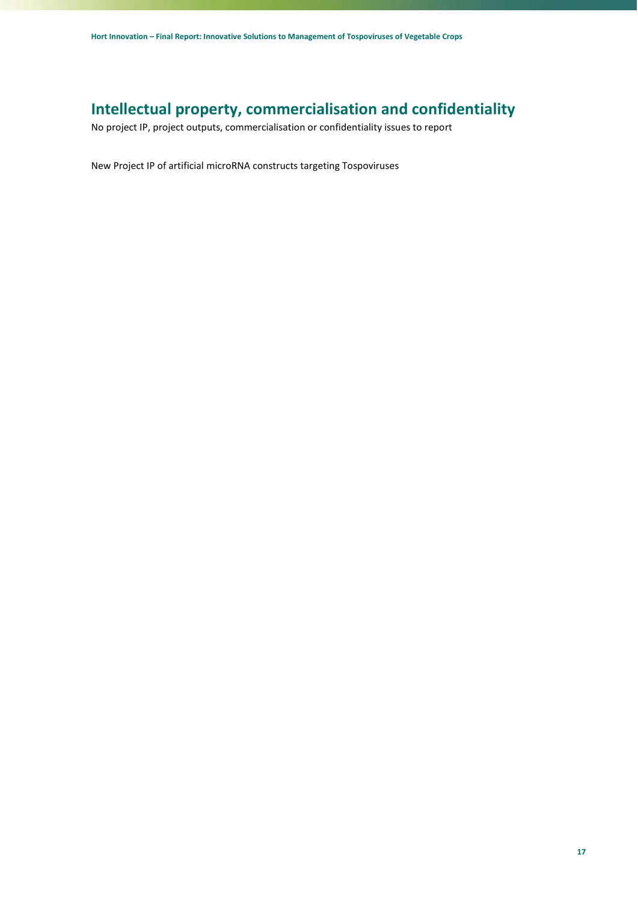# <span id="page-16-0"></span>**Intellectual property, commercialisation and confidentiality**

No project IP, project outputs, commercialisation or confidentiality issues to report

New Project IP of artificial microRNA constructs targeting Tospoviruses